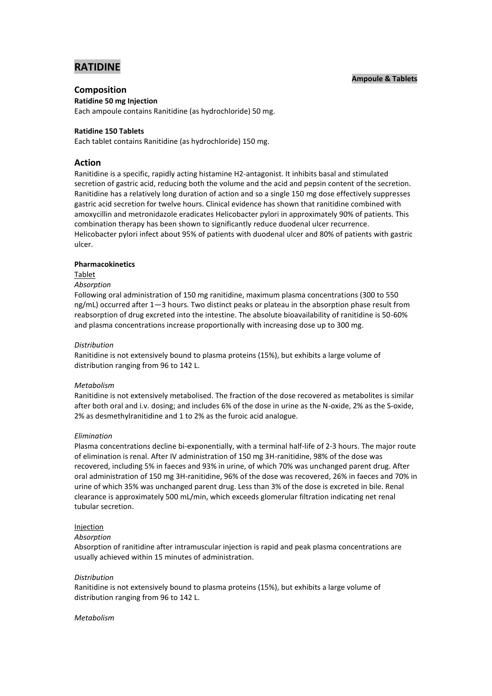# **RATIDINE**

# **Ampoule & Tablets**

# **Composition**

**Ratidine 50 mg Injection**

Each ampoule contains Ranitidine (as hydrochloride) 50 mg.

# **Ratidine 150 Tablets**

Each tablet contains Ranitidine (as hydrochloride) 150 mg.

# **Action**

Ranitidine is a specific, rapidly acting histamine H2-antagonist. It inhibits basal and stimulated secretion of gastric acid, reducing both the volume and the acid and pepsin content of the secretion. Ranitidine has a relatively long duration of action and so a single 150 mg dose effectively suppresses gastric acid secretion for twelve hours. Clinical evidence has shown that ranitidine combined with amoxycillin and metronidazole eradicates Helicobacter pylori in approximately 90% of patients. This combination therapy has been shown to significantly reduce duodenal ulcer recurrence. Helicobacter pylori infect about 95% of patients with duodenal ulcer and 80% of patients with gastric ulcer.

# **Pharmacokinetics**

# Tablet

# *Absorption*

Following oral administration of 150 mg ranitidine, maximum plasma concentrations (300 to 550 ng/mL) occurred after 1—3 hours. Two distinct peaks or plateau in the absorption phase result from reabsorption of drug excreted into the intestine. The absolute bioavailability of ranitidine is 50-60% and plasma concentrations increase proportionally with increasing dose up to 300 mg.

### *Distribution*

Ranitidine is not extensively bound to plasma proteins (15%), but exhibits a large volume of distribution ranging from 96 to 142 L.

# *Metabolism*

Ranitidine is not extensively metabolised. The fraction of the dose recovered as metabolites is similar after both oral and i.v. dosing; and includes 6% of the dose in urine as the N-oxide, 2% as the S-oxide, 2% as desmethylranitidine and 1 to 2% as the furoic acid analogue.

### *Elimination*

Plasma concentrations decline bi-exponentially, with a terminal half-life of 2-3 hours. The major route of elimination is renal. After IV administration of 150 mg 3H-ranitidine, 98% of the dose was recovered, including 5% in faeces and 93% in urine, of which 70% was unchanged parent drug. After oral administration of 150 mg 3H-ranitidine, 96% of the dose was recovered, 26% in faeces and 70% in urine of which 35% was unchanged parent drug. Less than 3% of the dose is excreted in bile. Renal clearance is approximately 500 mL/min, which exceeds glomerular filtration indicating net renal tubular secretion.

# Injection

### *Absorption*

Absorption of ranitidine after intramuscular injection is rapid and peak plasma concentrations are usually achieved within 15 minutes of administration.

### *Distribution*

Ranitidine is not extensively bound to plasma proteins (15%), but exhibits a large volume of distribution ranging from 96 to 142 L.

### *Metabolism*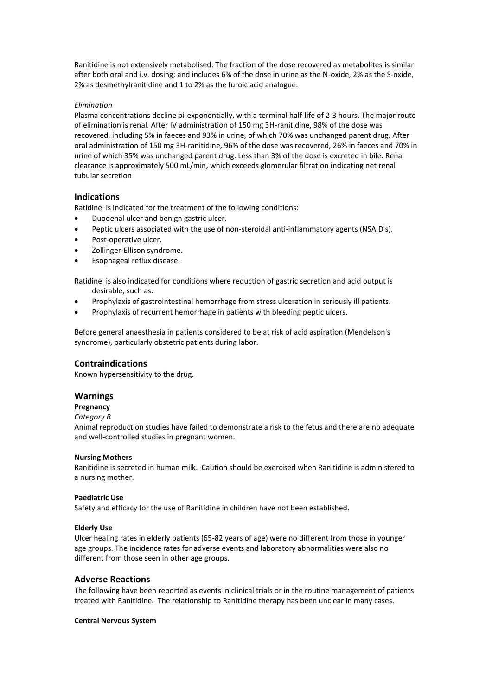Ranitidine is not extensively metabolised. The fraction of the dose recovered as metabolites is similar after both oral and i.v. dosing; and includes 6% of the dose in urine as the N-oxide, 2% as the S-oxide, 2% as desmethylranitidine and 1 to 2% as the furoic acid analogue.

# *Elimination*

Plasma concentrations decline bi-exponentially, with a terminal half-life of 2-3 hours. The major route of elimination is renal. After IV administration of 150 mg 3H-ranitidine, 98% of the dose was recovered, including 5% in faeces and 93% in urine, of which 70% was unchanged parent drug. After oral administration of 150 mg 3H-ranitidine, 96% of the dose was recovered, 26% in faeces and 70% in urine of which 35% was unchanged parent drug. Less than 3% of the dose is excreted in bile. Renal clearance is approximately 500 mL/min, which exceeds glomerular filtration indicating net renal tubular secretion

# **Indications**

Ratidine is indicated for the treatment of the following conditions:

- Duodenal ulcer and benign gastric ulcer.
- Peptic ulcers associated with the use of non-steroidal anti-inflammatory agents (NSAID's).
- Post-operative ulcer.
- Zollinger-Ellison syndrome.
- Esophageal reflux disease.

Ratidine is also indicated for conditions where reduction of gastric secretion and acid output is desirable, such as:

- Prophylaxis of gastrointestinal hemorrhage from stress ulceration in seriously ill patients.
- Prophylaxis of recurrent hemorrhage in patients with bleeding peptic ulcers.

Before general anaesthesia in patients considered to be at risk of acid aspiration (Mendelson's syndrome), particularly obstetric patients during labor.

# **Contraindications**

Known hypersensitivity to the drug.

# **Warnings**

# **Pregnancy**

# *Category B*

Animal reproduction studies have failed to demonstrate a risk to the fetus and there are no adequate and well-controlled studies in pregnant women.

### **Nursing Mothers**

Ranitidine is secreted in human milk. Caution should be exercised when Ranitidine is administered to a nursing mother.

# **Paediatric Use**

Safety and efficacy for the use of Ranitidine in children have not been established.

# **Elderly Use**

Ulcer healing rates in elderly patients (65-82 years of age) were no different from those in younger age groups. The incidence rates for adverse events and laboratory abnormalities were also no different from those seen in other age groups.

# **Adverse Reactions**

The following have been reported as events in clinical trials or in the routine management of patients treated with Ranitidine. The relationship to Ranitidine therapy has been unclear in many cases.

### **Central Nervous System**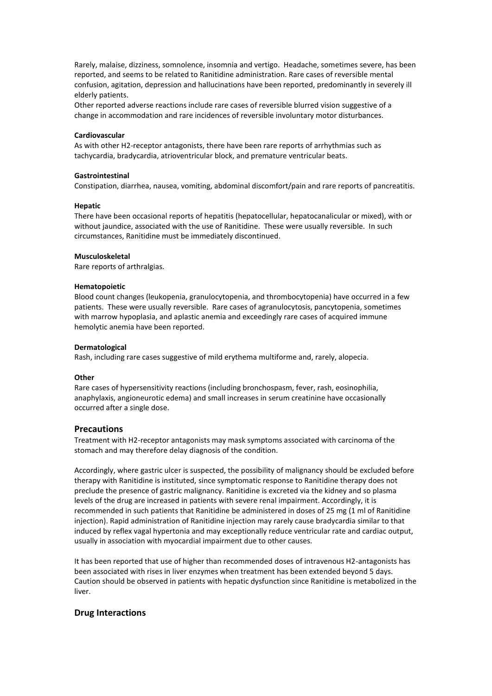Rarely, malaise, dizziness, somnolence, insomnia and vertigo. Headache, sometimes severe, has been reported, and seems to be related to Ranitidine administration. Rare cases of reversible mental confusion, agitation, depression and hallucinations have been reported, predominantly in severely ill elderly patients.

Other reported adverse reactions include rare cases of reversible blurred vision suggestive of a change in accommodation and rare incidences of reversible involuntary motor disturbances.

### **Cardiovascular**

As with other H2-receptor antagonists, there have been rare reports of arrhythmias such as tachycardia, bradycardia, atrioventricular block, and premature ventricular beats.

# **Gastrointestinal**

Constipation, diarrhea, nausea, vomiting, abdominal discomfort/pain and rare reports of pancreatitis.

#### **Hepatic**

There have been occasional reports of hepatitis (hepatocellular, hepatocanalicular or mixed), with or without jaundice, associated with the use of Ranitidine. These were usually reversible. In such circumstances, Ranitidine must be immediately discontinued.

#### **Musculoskeletal**

Rare reports of arthralgias.

#### **Hematopoietic**

Blood count changes (leukopenia, granulocytopenia, and thrombocytopenia) have occurred in a few patients. These were usually reversible. Rare cases of agranulocytosis, pancytopenia, sometimes with marrow hypoplasia, and aplastic anemia and exceedingly rare cases of acquired immune hemolytic anemia have been reported.

#### **Dermatological**

Rash, including rare cases suggestive of mild erythema multiforme and, rarely, alopecia.

#### **Other**

Rare cases of hypersensitivity reactions (including bronchospasm, fever, rash, eosinophilia, anaphylaxis, angioneurotic edema) and small increases in serum creatinine have occasionally occurred after a single dose.

### **Precautions**

Treatment with H2-receptor antagonists may mask symptoms associated with carcinoma of the stomach and may therefore delay diagnosis of the condition.

Accordingly, where gastric ulcer is suspected, the possibility of malignancy should be excluded before therapy with Ranitidine is instituted, since symptomatic response to Ranitidine therapy does not preclude the presence of gastric malignancy. Ranitidine is excreted via the kidney and so plasma levels of the drug are increased in patients with severe renal impairment. Accordingly, it is recommended in such patients that Ranitidine be administered in doses of 25 mg (1 ml of Ranitidine injection). Rapid administration of Ranitidine injection may rarely cause bradycardia similar to that induced by reflex vagal hypertonia and may exceptionally reduce ventricular rate and cardiac output, usually in association with myocardial impairment due to other causes.

It has been reported that use of higher than recommended doses of intravenous H2-antagonists has been associated with rises in liver enzymes when treatment has been extended beyond 5 days. Caution should be observed in patients with hepatic dysfunction since Ranitidine is metabolized in the liver.

# **Drug Interactions**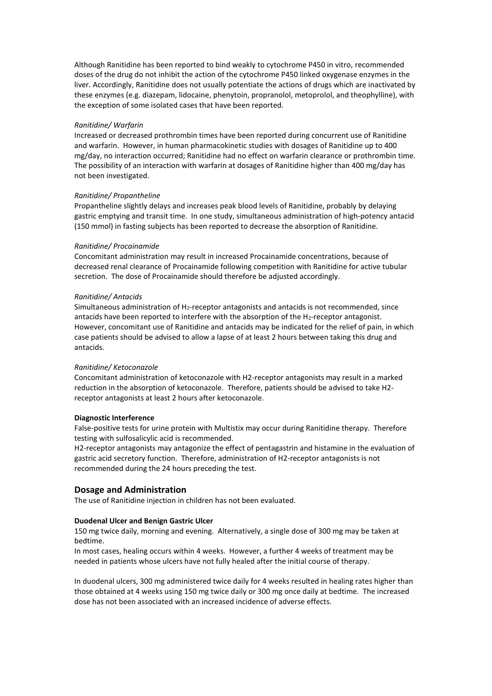Although Ranitidine has been reported to bind weakly to cytochrome P450 in vitro, recommended doses of the drug do not inhibit the action of the cytochrome P450 linked oxygenase enzymes in the liver. Accordingly, Ranitidine does not usually potentiate the actions of drugs which are inactivated by these enzymes (e.g. diazepam, lidocaine, phenytoin, propranolol, metoprolol, and theophylline), with the exception of some isolated cases that have been reported.

#### *Ranitidine/ Warfarin*

Increased or decreased prothrombin times have been reported during concurrent use of Ranitidine and warfarin. However, in human pharmacokinetic studies with dosages of Ranitidine up to 400 mg/day, no interaction occurred; Ranitidine had no effect on warfarin clearance or prothrombin time. The possibility of an interaction with warfarin at dosages of Ranitidine higher than 400 mg/day has not been investigated.

#### *Ranitidine/ Propantheline*

Propantheline slightly delays and increases peak blood levels of Ranitidine, probably by delaying gastric emptying and transit time. In one study, simultaneous administration of high-potency antacid (150 mmol) in fasting subjects has been reported to decrease the absorption of Ranitidine.

#### *Ranitidine/ Procainamide*

Concomitant administration may result in increased Procainamide concentrations, because of decreased renal clearance of Procainamide following competition with Ranitidine for active tubular secretion. The dose of Procainamide should therefore be adjusted accordingly.

#### *Ranitidine/ Antacids*

Simultaneous administration of  $H_2$ -receptor antagonists and antacids is not recommended, since antacids have been reported to interfere with the absorption of the H<sub>2</sub>-receptor antagonist. However, concomitant use of Ranitidine and antacids may be indicated for the relief of pain, in which case patients should be advised to allow a lapse of at least 2 hours between taking this drug and antacids.

#### *Ranitidine/ Ketoconazole*

Concomitant administration of ketoconazole with H2-receptor antagonists may result in a marked reduction in the absorption of ketoconazole. Therefore, patients should be advised to take H2 receptor antagonists at least 2 hours after ketoconazole.

### **Diagnostic Interference**

False-positive tests for urine protein with Multistix may occur during Ranitidine therapy. Therefore testing with sulfosalicylic acid is recommended.

H2-receptor antagonists may antagonize the effect of pentagastrin and histamine in the evaluation of gastric acid secretory function. Therefore, administration of H2-receptor antagonists is not recommended during the 24 hours preceding the test.

# **Dosage and Administration**

The use of Ranitidine injection in children has not been evaluated.

# **Duodenal Ulcer and Benign Gastric Ulcer**

150 mg twice daily, morning and evening. Alternatively, a single dose of 300 mg may be taken at bedtime.

In most cases, healing occurs within 4 weeks. However, a further 4 weeks of treatment may be needed in patients whose ulcers have not fully healed after the initial course of therapy.

In duodenal ulcers, 300 mg administered twice daily for 4 weeks resulted in healing rates higher than those obtained at 4 weeks using 150 mg twice daily or 300 mg once daily at bedtime. The increased dose has not been associated with an increased incidence of adverse effects.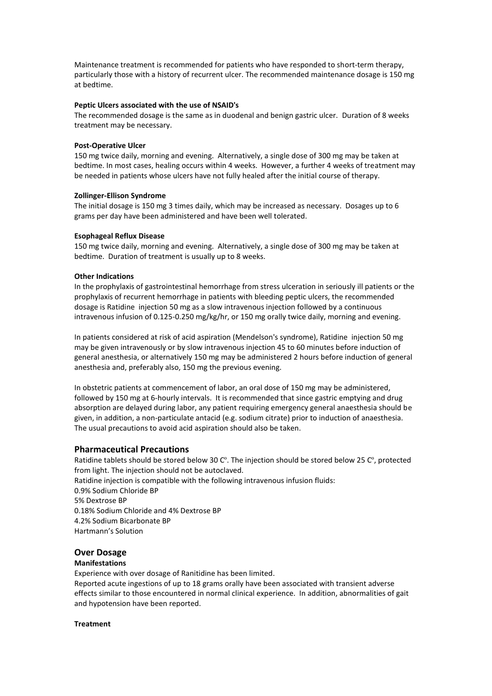Maintenance treatment is recommended for patients who have responded to short-term therapy, particularly those with a history of recurrent ulcer. The recommended maintenance dosage is 150 mg at bedtime.

# **Peptic Ulcers associated with the use of NSAID's**

The recommended dosage is the same as in duodenal and benign gastric ulcer. Duration of 8 weeks treatment may be necessary.

### **Post-Operative Ulcer**

150 mg twice daily, morning and evening. Alternatively, a single dose of 300 mg may be taken at bedtime. In most cases, healing occurs within 4 weeks. However, a further 4 weeks of treatment may be needed in patients whose ulcers have not fully healed after the initial course of therapy.

### **Zollinger-Ellison Syndrome**

The initial dosage is 150 mg 3 times daily, which may be increased as necessary. Dosages up to 6 grams per day have been administered and have been well tolerated.

### **Esophageal Reflux Disease**

150 mg twice daily, morning and evening. Alternatively, a single dose of 300 mg may be taken at bedtime. Duration of treatment is usually up to 8 weeks.

# **Other Indications**

In the prophylaxis of gastrointestinal hemorrhage from stress ulceration in seriously ill patients or the prophylaxis of recurrent hemorrhage in patients with bleeding peptic ulcers, the recommended dosage is Ratidine injection 50 mg as a slow intravenous injection followed by a continuous intravenous infusion of 0.125-0.250 mg/kg/hr, or 150 mg orally twice daily, morning and evening.

In patients considered at risk of acid aspiration (Mendelson's syndrome), Ratidine injection 50 mg may be given intravenously or by slow intravenous injection 45 to 60 minutes before induction of general anesthesia, or alternatively 150 mg may be administered 2 hours before induction of general anesthesia and, preferably also, 150 mg the previous evening.

In obstetric patients at commencement of labor, an oral dose of 150 mg may be administered, followed by 150 mg at 6-hourly intervals. It is recommended that since gastric emptying and drug absorption are delayed during labor, any patient requiring emergency general anaesthesia should be given, in addition, a non-particulate antacid (e.g. sodium citrate) prior to induction of anaesthesia. The usual precautions to avoid acid aspiration should also be taken.

# **Pharmaceutical Precautions**

Ratidine tablets should be stored below 30 Cº. The injection should be stored below 25 Cº, protected from light. The injection should not be autoclaved.

Ratidine injection is compatible with the following intravenous infusion fluids: 0.9% Sodium Chloride BP 5% Dextrose BP 0.18% Sodium Chloride and 4% Dextrose BP 4.2% Sodium Bicarbonate BP Hartmann's Solution

# **Over Dosage**

# **Manifestations**

Experience with over dosage of Ranitidine has been limited.

Reported acute ingestions of up to 18 grams orally have been associated with transient adverse effects similar to those encountered in normal clinical experience. In addition, abnormalities of gait and hypotension have been reported.

### **Treatment**